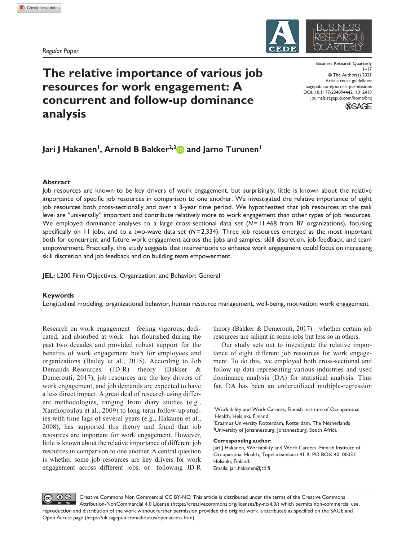*Regular Paper*



# **The relative importance of various job resources for work engagement: A concurrent and follow-up dominance analysis**

DOI: 10.1177/23409444211012419 Business Research Quarterly  $1 - 17$ © The Author(s) 2021 Article reuse guidelines: [sagepub.com/journals-permissions](https://uk.sagepub.com/en-gb/journals-permissions) [journals.sagepub.com/home/brq](https://journals.sagepub.com/home/brq)



## **Jari J Hakanen<sup>1</sup>, Arnold B Bakker<sup>2,3</sup> and Jarno Turunen<sup>1</sup>**

## **Abstract**

Job resources are known to be key drivers of work engagement, but surprisingly, little is known about the relative importance of specific job resources in comparison to one another. We investigated the relative importance of eight job resources both cross-sectionally and over a 3-year time period. We hypothesized that job resources at the task level are "universally" important and contribute relatively more to work engagement than other types of job resources. We employed dominance analyses to a large cross-sectional data set  $(N=11,468$  from 87 organizations), focusing specifically on 11 jobs, and to a two-wave data set (*N*=2,334). Three job resources emerged as the most important both for concurrent and future work engagement across the jobs and samples: skill discretion, job feedback, and team empowerment. Practically, this study suggests that interventions to enhance work engagement could focus on increasing skill discretion and job feedback and on building team empowerment.

**JEL:** L200 Firm Objectives, Organization, and Behavior: General

## **Keywords**

Longitudinal modeling, organizational behavior, human resource management, well-being, motivation, work engagement

Research on work engagement—feeling vigorous, dedicated, and absorbed at work—has flourished during the past two decades and provided robust support for the benefits of work engagement both for employees and organizations (Bailey et al., 2015). According to Job Demands–Resources (JD-R) theory (Bakker & Demerouti, 2017), job resources are the key drivers of work engagement, and job demands are expected to have a less direct impact. A great deal of research using different methodologies, ranging from diary studies (e.g., Xanthopoulou et al., 2009) to long-term follow-up studies with time lags of several years (e.g., Hakanen et al., 2008), has supported this theory and found that job resources are important for work engagement. However, little is known about the relative importance of different job resources in comparison to one another. A central question is whether some job resources are key drivers for work engagement across different jobs, or—following JD-R

theory (Bakker & Demerouti, 2017)—whether certain job resources are salient in some jobs but less so in others.

Our study sets out to investigate the relative importance of eight different job resources for work engagement. To do this, we employed both cross-sectional and follow-up data representing various industries and used dominance analysis (DA) for statistical analysis. Thus far, DA has been an underutilized multiple-regression

**Corresponding author:**

Jari J Hakanen, Workability and Work Careers, Finnish Institute of Occupational Health, Topeliuksenkatu 41 B, PO BOX 40, 00032 Helsinki, Finland. Emails: [jari.hakanen@ttl.fi](mailto:jari.hakanen@ttl.fi)

 $0$ Creative Commons Non Commercial CC BY-NC: This article is distributed under the terms of the Creative Commons Attribution-NonCommercial 4.0 License (https://creativecommons.org/licenses/by-nc/4.0/) which permits non-commercial use, reproduction and distribution of the work without further permission provided the original work is attributed as specified on the SAGE and Open Access page (https://uk.sagepub.com/aboutus/openaccess.htm).

<sup>1</sup> Workability and Work Careers, Finnish Institute of Occupational Health, Helsinki, Finland

<sup>&</sup>lt;sup>2</sup> Erasmus University Rotterdam, Rotterdam, The Netherlands <sup>3</sup>University of Johannesburg, Johannesburg, South Africa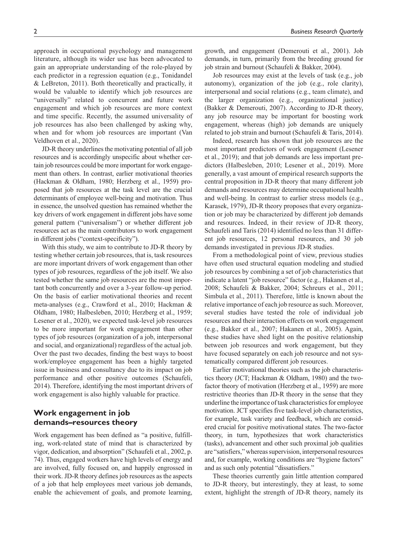approach in occupational psychology and management literature, although its wider use has been advocated to gain an appropriate understanding of the role-played by each predictor in a regression equation (e.g., Tonidandel & LeBreton, 2011). Both theoretically and practically, it would be valuable to identify which job resources are "universally" related to concurrent and future work engagement and which job resources are more context and time specific. Recently, the assumed universality of job resources has also been challenged by asking why, when and for whom job resources are important (Van Veldhoven et al., 2020).

JD-R theory underlines the motivating potential of all job resources and is accordingly unspecific about whether certain job resources could be more important for work engagement than others. In contrast, earlier motivational theories (Hackman & Oldham, 1980; Herzberg et al., 1959) proposed that job resources at the task level are the crucial determinants of employee well-being and motivation. Thus in essence, the unsolved question has remained whether the key drivers of work engagement in different jobs have some general pattern ("universalism") or whether different job resources act as the main contributors to work engagement in different jobs ("context-specificity").

With this study, we aim to contribute to JD-R theory by testing whether certain job resources, that is, task resources are more important drivers of work engagement than other types of job resources, regardless of the job itself. We also tested whether the same job resources are the most important both concurrently and over a 3-year follow-up period. On the basis of earlier motivational theories and recent meta-analyses (e.g., Crawford et al., 2010; Hackman & Oldham, 1980; Halbesleben, 2010; Herzberg et al., 1959; Lesener et al., 2020), we expected task-level job resources to be more important for work engagement than other types of job resources (organization of a job, interpersonal and social, and organizational) regardless of the actual job. Over the past two decades, finding the best ways to boost work/employee engagement has been a highly targeted issue in business and consultancy due to its impact on job performance and other positive outcomes (Schaufeli, 2014). Therefore, identifying the most important drivers of work engagement is also highly valuable for practice.

## **Work engagement in job demands–resources theory**

Work engagement has been defined as "a positive, fulfilling, work-related state of mind that is characterized by vigor, dedication, and absorption" (Schaufeli et al., 2002, p. 74). Thus, engaged workers have high levels of energy and are involved, fully focused on, and happily engrossed in their work. JD-R theory defines job resources as the aspects of a job that help employees meet various job demands, enable the achievement of goals, and promote learning,

growth, and engagement (Demerouti et al., 2001). Job demands, in turn, primarily from the breeding ground for job strain and burnout (Schaufeli & Bakker, 2004).

Job resources may exist at the levels of task (e.g., job autonomy), organization of the job (e.g., role clarity), interpersonal and social relations (e.g., team climate), and the larger organization (e.g., organizational justice) (Bakker & Demerouti, 2007). According to JD-R theory, any job resource may be important for boosting work engagement, whereas (high) job demands are uniquely related to job strain and burnout (Schaufeli & Taris, 2014).

Indeed, research has shown that job resources are the most important predictors of work engagement (Lesener et al., 2019); and that job demands are less important predictors (Halbesleben, 2010; Lesener et al., 2019). More generally, a vast amount of empirical research supports the central proposition in JD-R theory that many different job demands and resources may determine occupational health and well-being. In contrast to earlier stress models (e.g., Karasek, 1979), JD-R theory proposes that every organization or job may be characterized by different job demands and resources. Indeed, in their review of JD-R theory, Schaufeli and Taris (2014) identified no less than 31 different job resources, 12 personal resources, and 30 job demands investigated in previous JD-R studies.

From a methodological point of view, previous studies have often used structural equation modeling and studied job resources by combining a set of job characteristics that indicate a latent "job resource" factor (e.g., Hakanen et al., 2008; Schaufeli & Bakker, 2004; Schreurs et al., 2011; Simbula et al., 2011). Therefore, little is known about the relative importance of each job resource as such. Moreover, several studies have tested the role of individual job resources and their interaction effects on work engagement (e.g., Bakker et al., 2007; Hakanen et al., 2005). Again, these studies have shed light on the positive relationship between job resources and work engagement, but they have focused separately on each job resource and not systematically compared different job resources.

Earlier motivational theories such as the job characteristics theory (JCT; Hackman & Oldham, 1980) and the twofactor theory of motivation (Herzberg et al., 1959) are more restrictive theories than JD-R theory in the sense that they underline the importance of task characteristics for employee motivation. JCT specifies five task-level job characteristics, for example, task variety and feedback, which are considered crucial for positive motivational states. The two-factor theory, in turn, hypothesizes that work characteristics (tasks), advancement and other such proximal job qualities are "satisfiers," whereas supervision, interpersonal resources and, for example, working conditions are "hygiene factors" and as such only potential "dissatisfiers."

These theories currently gain little attention compared to JD-R theory, but interestingly, they at least, to some extent, highlight the strength of JD-R theory, namely its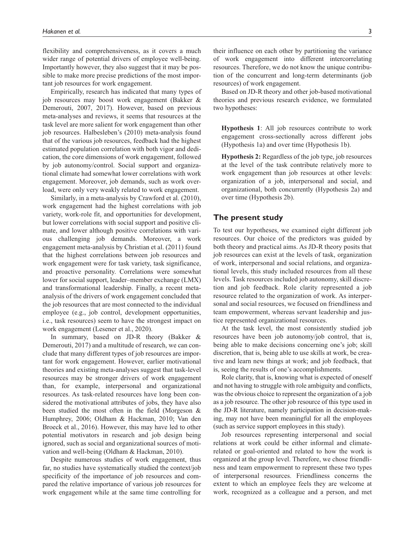flexibility and comprehensiveness, as it covers a much wider range of potential drivers of employee well-being. Importantly however, they also suggest that it may be possible to make more precise predictions of the most important job resources for work engagement.

Empirically, research has indicated that many types of job resources may boost work engagement (Bakker & Demerouti, 2007, 2017). However, based on previous meta-analyses and reviews, it seems that resources at the task level are more salient for work engagement than other job resources. Halbesleben's (2010) meta-analysis found that of the various job resources, feedback had the highest estimated population correlation with both vigor and dedication, the core dimensions of work engagement, followed by job autonomy/control. Social support and organizational climate had somewhat lower correlations with work engagement. Moreover, job demands, such as work overload, were only very weakly related to work engagement.

Similarly, in a meta-analysis by Crawford et al. (2010), work engagement had the highest correlations with job variety, work-role fit, and opportunities for development, but lower correlations with social support and positive climate, and lower although positive correlations with various challenging job demands. Moreover, a work engagement meta-analysis by Christian et al. (2011) found that the highest correlations between job resources and work engagement were for task variety, task significance, and proactive personality. Correlations were somewhat lower for social support, leader–member exchange (LMX) and transformational leadership. Finally, a recent metaanalysis of the drivers of work engagement concluded that the job resources that are most connected to the individual employee (e.g., job control, development opportunities, i.e., task resources) seem to have the strongest impact on work engagement (Lesener et al., 2020).

In summary, based on JD-R theory (Bakker & Demerouti, 2017) and a multitude of research, we can conclude that many different types of job resources are important for work engagement. However, earlier motivational theories and existing meta-analyses suggest that task-level resources may be stronger drivers of work engagement than, for example, interpersonal and organizational resources. As task-related resources have long been considered the motivational attributes of jobs, they have also been studied the most often in the field (Morgeson & Humphrey, 2006; Oldham & Hackman, 2010; Van den Broeck et al., 2016). However, this may have led to other potential motivators in research and job design being ignored, such as social and organizational sources of motivation and well-being (Oldham & Hackman, 2010).

Despite numerous studies of work engagement, thus far, no studies have systematically studied the context/job specificity of the importance of job resources and compared the relative importance of various job resources for work engagement while at the same time controlling for

their influence on each other by partitioning the variance of work engagement into different intercorrelating resources. Therefore, we do not know the unique contribution of the concurrent and long-term determinants (job resources) of work engagement.

Based on JD-R theory and other job-based motivational theories and previous research evidence, we formulated two hypotheses:

**Hypothesis 1**: All job resources contribute to work engagement cross-sectionally across different jobs (Hypothesis 1a) and over time (Hypothesis 1b).

**Hypothesis 2:** Regardless of the job type, job resources at the level of the task contribute relatively more to work engagement than job resources at other levels: organization of a job, interpersonal and social, and organizational, both concurrently (Hypothesis 2a) and over time (Hypothesis 2b).

## **The present study**

To test our hypotheses, we examined eight different job resources. Our choice of the predictors was guided by both theory and practical aims. As JD-R theory posits that job resources can exist at the levels of task, organization of work, interpersonal and social relations, and organizational levels, this study included resources from all these levels. Task resources included job autonomy, skill discretion and job feedback. Role clarity represented a job resource related to the organization of work. As interpersonal and social resources, we focused on friendliness and team empowerment, whereas servant leadership and justice represented organizational resources.

At the task level, the most consistently studied job resources have been job autonomy/job control, that is, being able to make decisions concerning one's job; skill discretion, that is, being able to use skills at work, be creative and learn new things at work; and job feedback, that is, seeing the results of one's accomplishments.

Role clarity, that is, knowing what is expected of oneself and not having to struggle with role ambiguity and conflicts, was the obvious choice to represent the organization of a job as a job resource. The other job resource of this type used in the JD-R literature, namely participation in decision-making, may not have been meaningful for all the employees (such as service support employees in this study).

Job resources representing interpersonal and social relations at work could be either informal and climaterelated or goal-oriented and related to how the work is organized at the group level. Therefore, we chose friendliness and team empowerment to represent these two types of interpersonal resources. Friendliness concerns the extent to which an employee feels they are welcome at work, recognized as a colleague and a person, and met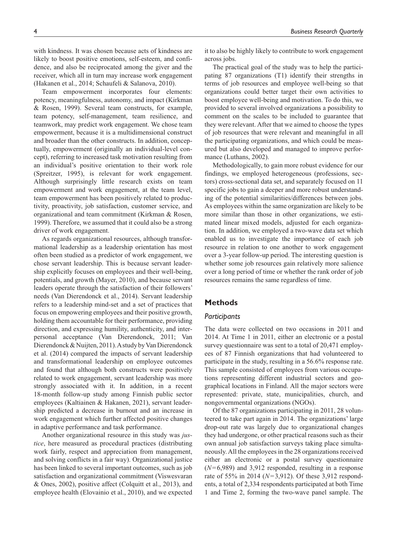with kindness. It was chosen because acts of kindness are likely to boost positive emotions, self-esteem, and confidence, and also be reciprocated among the giver and the receiver, which all in turn may increase work engagement (Hakanen et al., 2014; Schaufeli & Salanova, 2010).

Team empowerment incorporates four elements: potency, meaningfulness, autonomy, and impact (Kirkman & Rosen, 1999). Several team constructs, for example, team potency, self-management, team resilience, and teamwork, may predict work engagement. We chose team empowerment, because it is a multidimensional construct and broader than the other constructs. In addition, conceptually, empowerment (originally an individual-level concept), referring to increased task motivation resulting from an individual's positive orientation to their work role (Spreitzer, 1995), is relevant for work engagement. Although surprisingly little research exists on team empowerment and work engagement, at the team level, team empowerment has been positively related to productivity, proactivity, job satisfaction, customer service, and organizational and team commitment (Kirkman & Rosen, 1999). Therefore, we assumed that it could also be a strong driver of work engagement.

As regards organizational resources, although transformational leadership as a leadership orientation has most often been studied as a predictor of work engagement, we chose servant leadership. This is because servant leadership explicitly focuses on employees and their well-being, potentials, and growth (Mayer, 2010), and because servant leaders operate through the satisfaction of their followers' needs (Van Dierendonck et al., 2014). Servant leadership refers to a leadership mind-set and a set of practices that focus on empowering employees and their positive growth, holding them accountable for their performance, providing direction, and expressing humility, authenticity, and interpersonal acceptance (Van Dierendonck, 2011; Van Dierendonck & Nuijten, 2011). A study by Van Dierendonck et al. (2014) compared the impacts of servant leadership and transformational leadership on employee outcomes and found that although both constructs were positively related to work engagement, servant leadership was more strongly associated with it. In addition, in a recent 18-month follow-up study among Finnish public sector employees (Kaltiainen & Hakanen, 2021), servant leadership predicted a decrease in burnout and an increase in work engagement which further affected positive changes in adaptive performance and task performance.

Another organizational resource in this study was *justice*, here measured as procedural practices (distributing work fairly, respect and appreciation from management, and solving conflicts in a fair way). Organizational justice has been linked to several important outcomes, such as job satisfaction and organizational commitment (Viswesvaran & Ones, 2002), positive affect (Colquitt et al., 2013), and employee health (Elovainio et al., 2010), and we expected it to also be highly likely to contribute to work engagement across jobs.

The practical goal of the study was to help the participating 87 organizations (T1) identify their strengths in terms of job resources and employee well-being so that organizations could better target their own activities to boost employee well-being and motivation. To do this, we provided to several involved organizations a possibility to comment on the scales to be included to guarantee that they were relevant. After that we aimed to choose the types of job resources that were relevant and meaningful in all the participating organizations, and which could be measured but also developed and managed to improve performance (Luthans, 2002).

Methodologically, to gain more robust evidence for our findings, we employed heterogeneous (professions, sectors) cross-sectional data set, and separately focused on 11 specific jobs to gain a deeper and more robust understanding of the potential similarities/differences between jobs. As employees within the same organization are likely to be more similar than those in other organizations, we estimated linear mixed models, adjusted for each organization. In addition, we employed a two-wave data set which enabled us to investigate the importance of each job resource in relation to one another to work engagement over a 3-year follow-up period. The interesting question is whether some job resources gain relatively more salience over a long period of time or whether the rank order of job resources remains the same regardless of time.

## **Methods**

## *Participants*

The data were collected on two occasions in 2011 and 2014. At Time 1 in 2011, either an electronic or a postal survey questionnaire was sent to a total of 20,471 employees of 87 Finnish organizations that had volunteered to participate in the study, resulting in a 56.6% response rate. This sample consisted of employees from various occupations representing different industrial sectors and geographical locations in Finland. All the major sectors were represented: private, state, municipalities, church, and nongovernmental organizations (NGOs).

Of the 87 organizations participating in 2011, 28 volunteered to take part again in 2014. The organizations' large drop-out rate was largely due to organizational changes they had undergone, or other practical reasons such as their own annual job satisfaction surveys taking place simultaneously. All the employees in the 28 organizations received either an electronic or a postal survey questionnaire (*N*=6,989) and 3,912 responded, resulting in a response rate of 55% in 2014 (*N*=3,912). Of these 3,912 respondents, a total of 2,334 respondents participated at both Time 1 and Time 2, forming the two-wave panel sample. The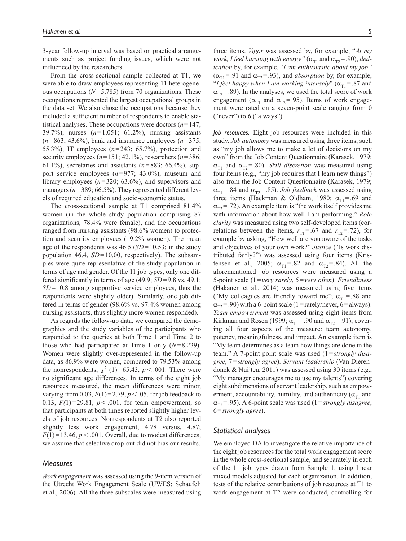3-year follow-up interval was based on practical arrangements such as project funding issues, which were not influenced by the researchers.

From the cross-sectional sample collected at T1, we were able to draw employees representing 11 heterogeneous occupations  $(N=5,785)$  from 70 organizations. These occupations represented the largest occupational groups in the data set. We also chose the occupations because they included a sufficient number of respondents to enable statistical analyses. These occupations were doctors (*n*=147; 39.7%), nurses (*n*=1,051; 61.2%), nursing assistants  $(n=863; 43.6\%)$ , bank and insurance employees  $(n=375;$ 55.3%), IT employees (*n*=243; 65.7%), protection and security employees  $(n=151; 42.1\%)$ , researchers  $(n=386;$ 61.1%), secretaries and assistants  $(n=883; 66.4\%)$ , support service employees (*n*=977; 43.0%), museum and library employees  $(n=320; 63.6\%)$ , and supervisors and managers ( $n=389$ ; 66.5%). They represented different levels of required education and socio-economic status.

The cross-sectional sample at T1 comprised 81.4% women (in the whole study population comprising 87 organizations, 78.4% were female), and the occupations ranged from nursing assistants (98.6% women) to protection and security employees (19.2% women). The mean age of the respondents was 46.5 (*SD*=10.53; in the study population 46.4, *SD*=10.00, respectively). The subsamples were quite representative of the study population in terms of age and gender. Of the 11 job types, only one differed significantly in terms of age (49.9; *SD*=9.8 vs. 49.1; *SD*=10.8 among supportive service employees, thus the respondents were slightly older). Similarly, one job differed in terms of gender (98.6% vs. 97.4% women among nursing assistants, thus slightly more women responded).

As regards the follow-up data, we compared the demographics and the study variables of the participants who responded to the queries at both Time 1 and Time 2 to those who had participated at Time 1 only (*N*=8,239). Women were slightly over-represented in the follow-up data, as 86.9% were women, compared to 79.53% among the nonrespondents,  $\chi^2$  (1)=65.43, *p* < .001. There were no significant age differences. In terms of the eight job resources measured, the mean differences were minor, varying from 0.03,  $F(1) = 2.79$ ,  $p < .05$ , for job feedback to 0.13,  $F(1) = 29.81$ ,  $p < .001$ , for team empowerment, so that participants at both times reported slightly higher levels of job resources. Nonrespondents at T2 also reported slightly less work engagement, 4.78 versus. 4.87;  $F(1) = 13.46$ ,  $p < .001$ . Overall, due to modest differences, we assume that selective drop-out did not bias our results.

## *Measures*

*Work engagement* was assessed using the 9-item version of the Utrecht Work Engagement Scale (UWES; Schaufeli et al., 2006). All the three subscales were measured using

three items. *Vigor* was assessed by, for example, "*At my work, I feel bursting with energy*" ( $\alpha_{T1}$  and  $\alpha_{T2}$  = .90), *dedication* by, for example, "*I am enthusiastic about my job"*  $(\alpha_{T1} = .91 \text{ and } \alpha_{T2} = .93)$ , and *absorption* by, for example, "*I feel happy when I am working intensely*" ( $\alpha_{T1}$ =.87 and  $\alpha_{T2}$ =.89). In the analyses, we used the total score of work engagement ( $\alpha_{T1}$  and  $\alpha_{T2}$ =.95). Items of work engagement were rated on a seven-point scale ranging from 0 ("never") to  $6$  ("always").

*Job resources.* Eight job resources were included in this study. *Job autonomy* was measured using three items, such as "my job allows me to make a lot of decisions on my own" from the Job Content Questionnaire (Karasek, 1979;  $\alpha_{\text{t}}$  and  $\alpha_{\text{t}}$  = .80). *Skill discretion* was measured using four items (e.g., "my job requires that I learn new things") also from the Job Content Questionnaire (Karasek, 1979;  $\alpha_{T1}$ =.84 and  $\alpha_{T2}$ =.85). *Job feedback* was assessed using three items (Hackman & Oldham, 1980;  $\alpha_{T1} = .69$  and  $\alpha_{T2}$ = .72). An example item is "the work itself provides me with information about how well I am performing." *Role clarity* was measured using two self-developed items (correlations between the items,  $r_{T1}$ =.67 and  $r_{T2}$ =.72), for example by asking, "How well are you aware of the tasks and objectives of your own work?" *Justice* ("Is work distributed fairly?") was assessed using four items (Kristensen et al., 2005;  $\alpha_{T1} = .82$  and  $\alpha_{T2} = .84$ ). All the aforementioned job resources were measured using a 5-point scale (1=*very rarely*, 5=*very often*). *Friendliness* (Hakanen et al., 2014) was measured using five items ("My colleagues are friendly toward me";  $\alpha_{\text{II}}$  = .88 and  $\alpha_{T2}$  = .90) with a 6-point scale (1 = rarely/never, 6 = always). *Team empowerment* was assessed using eight items from Kirkman and Rosen (1999;  $\alpha_{T1}$  = .90 and  $\alpha_{T2}$  = .91), covering all four aspects of the measure: team autonomy, potency, meaningfulness, and impact. An example item is "My team determines as a team how things are done in the team." A 7-point point scale was used (1=*strongly disagree*, 7=*strongly agree*). *Servant leadership* (Van Dierendonck & Nuijten, 2011) was assessed using 30 items (e.g., "My manager encourages me to use my talents") covering eight subdimensions of servant leadership, such as empowerment, accountability, humility, and authenticity ( $\alpha_{\text{t1}}$  and  $\alpha_{T2}$ =.95). A 6-point scale was used (1=*strongly disagree*, 6=*strongly agree*).

#### *Statistical analyses*

We employed DA to investigate the relative importance of the eight job resources for the total work engagement score in the whole cross-sectional sample, and separately in each of the 11 job types drawn from Sample 1, using linear mixed models adjusted for each organization. In addition, tests of the relative contributions of job resources at T1 to work engagement at T2 were conducted, controlling for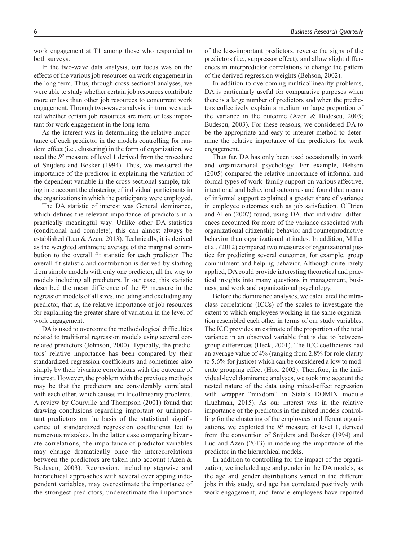work engagement at T1 among those who responded to both surveys.

In the two-wave data analysis, our focus was on the effects of the various job resources on work engagement in the long term. Thus, through cross-sectional analyses, we were able to study whether certain job resources contribute more or less than other job resources to concurrent work engagement. Through two-wave analysis, in turn, we studied whether certain job resources are more or less important for work engagement in the long term.

As the interest was in determining the relative importance of each predictor in the models controlling for random effect (i.e., clustering) in the form of organization, we used the  $R^2$  measure of level 1 derived from the procedure of Snijders and Bosker (1994). Thus, we measured the importance of the predictor in explaining the variation of the dependent variable in the cross-sectional sample, taking into account the clustering of individual participants in the organizations in which the participants were employed.

The DA statistic of interest was General dominance, which defines the relevant importance of predictors in a practically meaningful way. Unlike other DA statistics (conditional and complete), this can almost always be established (Luo & Azen, 2013). Technically, it is derived as the weighted arithmetic average of the marginal contribution to the overall fit statistic for each predictor. The overall fit statistic and contribution is derived by starting from simple models with only one predictor, all the way to models including all predictors. In our case, this statistic described the mean difference of the *R*<sup>2</sup> measure in the regression models of all sizes, including and excluding any predictor, that is, the relative importance of job resources for explaining the greater share of variation in the level of work engagement.

DA is used to overcome the methodological difficulties related to traditional regression models using several correlated predictors (Johnson, 2000). Typically, the predictors' relative importance has been compared by their standardized regression coefficients and sometimes also simply by their bivariate correlations with the outcome of interest. However, the problem with the previous methods may be that the predictors are considerably correlated with each other, which causes multicollinearity problems. A review by Courville and Thompson (2001) found that drawing conclusions regarding important or unimportant predictors on the basis of the statistical significance of standardized regression coefficients led to numerous mistakes. In the latter case comparing bivariate correlations, the importance of predictor variables may change dramatically once the intercorrelations between the predictors are taken into account (Azen & Budescu, 2003). Regression, including stepwise and hierarchical approaches with several overlapping independent variables, may overestimate the importance of the strongest predictors, underestimate the importance

of the less-important predictors, reverse the signs of the predictors (i.e., suppressor effect), and allow slight differences in interpredictor correlations to change the pattern of the derived regression weights (Behson, 2002).

In addition to overcoming multicollinearity problems, DA is particularly useful for comparative purposes when there is a large number of predictors and when the predictors collectively explain a medium or large proportion of the variance in the outcome (Azen & Budescu, 2003; Budescu, 2003). For these reasons, we considered DA to be the appropriate and easy-to-intepret method to determine the relative importance of the predictors for work engagement.

Thus far, DA has only been used occasionally in work and organizational psychology. For example, Behson (2005) compared the relative importance of informal and formal types of work–family support on various affective, intentional and behavioral outcomes and found that means of informal support explained a greater share of variance in employee outcomes such as job satisfaction. O'Brien and Allen (2007) found, using DA, that individual differences accounted for more of the variance associated with organizational citizenship behavior and counterproductive behavior than organizational attitudes. In addition, Miller et al. (2012) compared two measures of organizational justice for predicting several outcomes, for example, group commitment and helping behavior. Although quite rarely applied, DA could provide interesting theoretical and practical insights into many questions in management, business, and work and organizational psychology.

Before the dominance analyses, we calculated the intraclass correlations (ICCs) of the scales to investigate the extent to which employees working in the same organization resembled each other in terms of our study variables. The ICC provides an estimate of the proportion of the total variance in an observed variable that is due to betweengroup differences (Heck, 2001). The ICC coefficients had an average value of 4% (ranging from 2.8% for role clarity to 5.6% for justice) which can be considered a low to moderate grouping effect (Hox, 2002). Therefore, in the individual-level dominance analyses, we took into account the nested nature of the data using mixed-effect regression with wrapper "mixdom" in Stata's DOMIN module (Luchman, 2015). As our interest was in the relative importance of the predictors in the mixed models controlling for the clustering of the employees in different organizations, we exploited the  $R^2$  measure of level 1, derived from the convention of Snijders and Bosker (1994) and Luo and Azen (2013) in modeling the importance of the predictor in the hierarchical models.

In addition to controlling for the impact of the organization, we included age and gender in the DA models, as the age and gender distributions varied in the different jobs in this study, and age has correlated positively with work engagement, and female employees have reported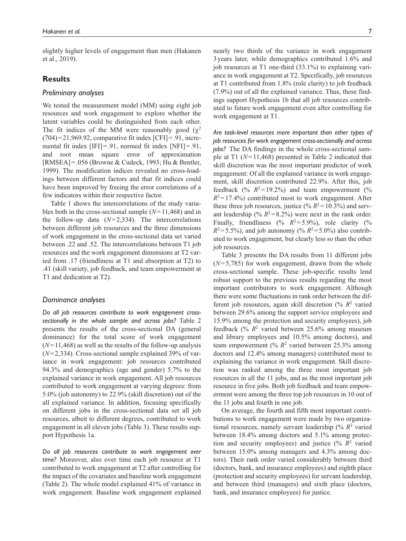slightly higher levels of engagement than men (Hakanen et al., 2019).

## **Results**

#### *Preliminary analyses*

We tested the measurement model (MM) using eight job resources and work engagement to explore whether the latent variables could be distinguished from each other. The fit indices of the MM were reasonably good  $(\chi^2)$  $(704)=21,969.92$ , comparative fit index  $[CFI]=.91$ , incremental fit index [IFI]=.91, normed fit index [NFI]=.91, and root mean square error of approximation [RMSEA]=.056 (Browne & Cudeck, 1993; Hu & Bentler, 1999). The modification indices revealed no cross-loadings between different factors and that fit indices could have been improved by freeing the error correlations of a few indicators within their respective factor.

Table 1 shows the intercorrelations of the study variables both in the cross-sectional sample (*N*=11,468) and in the follow-up data  $(N=2,334)$ . The intercorrelations between different job resources and the three dimensions of work engagement in the cross-sectional data set varied between .22 and .52. The intercorrelations between T1 job resources and the work engagement dimensions at T2 varied from .17 (friendliness at T1 and absorption at T2) to .41 (skill variety, job feedback, and team empowerment at T1 and dedication at T2).

## *Dominance analyses*

*Do all job resources contribute to work engagement crosssectionally in the whole sample and across jobs?* Table 2 presents the results of the cross-sectional DA (general dominance) for the total score of work engagement  $(N=11,468)$  as well as the results of the follow-up analysis (*N*=2,334). Cross-sectional sample explained 39% of variance in work engagement: job resources contributed 94.3% and demographics (age and gender) 5.7% to the explained variance in work engagement. All job resources contributed to work engagement at varying degrees: from 5.0% (job autonomy) to 22.9% (skill discretion) out of the all explained variance. In addition, focusing specifically on different jobs in the cross-sectional data set all job resources, albeit to different degrees, contributed to work engagement in all eleven jobs (Table 3). These results support Hypothesis 1a.

*Do all job resources contribute to work engagement over time?* Moreover, also over time each job resource at T1 contributed to work engagement at T2 after controlling for the impact of the covariates and baseline work engagement (Table 2). The whole model explained 41% of variance in work engagement. Baseline work engagement explained nearly two thirds of the variance in work engagement 3years later, while demographics contributed 1.6% and job resources at T1 one-third (33.1%) to explaining variance in work engagement at T2. Specifically, job resources at T1 contributed from 1.8% (role clarity) to job feedback (7.9%) out of all the explained variance. Thus, these findings support Hypothesis 1b that all job resources contributed to future work engagement even after controlling for work engagement at T1.

*Are task-level resources more important than other types of job resources for work engagement cross-sectionally and across jobs?* The DA findings in the whole cross-sectional sample at T1 (*N*=11,468) presented in Table 2 indicated that skill discretion was the most important predictor of work engagement: Of all the explained variance in work engagement, skill discretion contributed 22.9%. After this, job feedback (%  $R^2 = 19.2\%$ ) and team empowerment (%  $R^2 = 17.4\%$ ) contributed most to work engagement. After these three job resources, justice (%  $R^2 = 10.3\%$ ) and servant leadership (%  $R^2 = 8.2$ %) were next in the rank order. Finally, friendliness (%  $R^2 = 5.9\%$ ), role clarity (%  $R^2$ =5.5%), and job autonomy (%  $R^2$ =5.0%) also contributed to work engagement, but clearly less so than the other job resources.

Table 3 presents the DA results from 11 different jobs (*N*=5,785) for work engagement, drawn from the whole cross-sectional sample. These job-specific results lend robust support to the previous results regarding the most important contributors to work engagement. Although there were some fluctuations in rank order between the different job resources, again skill discretion (%  $R^2$  varied between 29.6% among the support service employees and 15.9% among the protection and security employees), job feedback  $(\frac{6}{6} R^2)$  varied between 25.6% among museum and library employees and 10.5% among doctors), and team empowerment (%  $R^2$  varied between 25.3% among doctors and 12.4% among managers) contributed most to explaining the variance in work engagement. Skill discretion was ranked among the three most important job resources in all the 11 jobs, and as the most important job resource in five jobs. Both job feedback and team empowerment were among the three top job resources in 10 out of the 11 jobs and fourth in one job.

On average, the fourth and fifth most important contributions to work engagement were made by two organizational resources, namely servant leadership  $(% R<sup>2</sup>$  varied between 18.4% among doctors and 5.1% among protection and security employees) and justice  $(\frac{6}{6} R^2)$  varied between 15.0% among managers and 4.3% among doctors). Their rank order varied considerably between third (doctors, bank, and insurance employees) and eighth place (protection and security employees) for servant leadership, and between third (managers) and sixth place (doctors, bank, and insurance employees) for justice.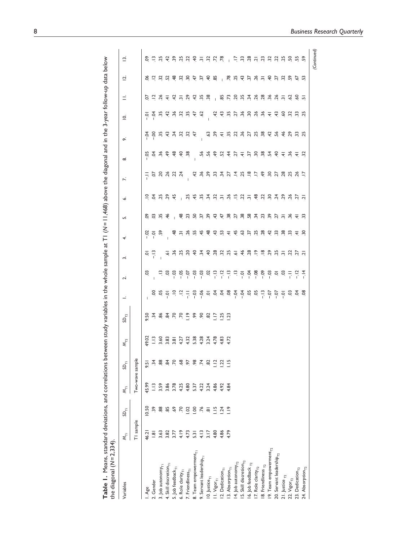| the diagonal $(N=2,334)$           |                            |                                   |             |                                                   |                                                                                                                                     |                             |                                                                                                                                                                                                                                                                                                                                                                                                                         |        |               |                                             |    |                                                       |              |                                       |                                       |                                                           |                                                 |                                             |             |
|------------------------------------|----------------------------|-----------------------------------|-------------|---------------------------------------------------|-------------------------------------------------------------------------------------------------------------------------------------|-----------------------------|-------------------------------------------------------------------------------------------------------------------------------------------------------------------------------------------------------------------------------------------------------------------------------------------------------------------------------------------------------------------------------------------------------------------------|--------|---------------|---------------------------------------------|----|-------------------------------------------------------|--------------|---------------------------------------|---------------------------------------|-----------------------------------------------------------|-------------------------------------------------|---------------------------------------------|-------------|
| Variables                          | $\mathsf{M}_{\mathsf{T}1}$ | $\mathfrak{B}_{\bar{\mathbb{F}}}$ | $\bar{\xi}$ | $\overline{\mathfrak{s}}_{\overline{\mathsf{r}}}$ | $\mathbb{X}_{\Gamma^2}$                                                                                                             | $\mathsf{SD}_{\mathsf{T2}}$ | $\equiv$                                                                                                                                                                                                                                                                                                                                                                                                                | $\sim$ | $\dot{ }$     | 4.                                          | j, | ۰ó                                                    | $\mathbf{r}$ | ∞                                     | ö                                     | $\overline{\circ}$                                        | Ξ                                               | Ξ,                                          | $\bar{a}$   |
|                                    | T1 sample                  |                                   |             | Two-wave sample                                   |                                                                                                                                     |                             |                                                                                                                                                                                                                                                                                                                                                                                                                         |        |               |                                             |    |                                                       |              |                                       |                                       |                                                           |                                                 |                                             |             |
| . Age                              | 46.21                      | 10.50                             | 45.99       | 9.51                                              |                                                                                                                                     |                             |                                                                                                                                                                                                                                                                                                                                                                                                                         | 3      |               |                                             |    |                                                       |              |                                       |                                       |                                                           |                                                 |                                             | <u>ိ</u>    |
| .Gender                            | $\frac{1}{8}$              | 39                                | $\tilde{=}$ | 74                                                | $9.2$<br>$1.3$<br>$3.8$<br>$3.8$<br>$4.3$<br>$5.8$<br>$5.8$<br>$5.8$<br>$5.8$<br>$5.8$<br>$5.8$<br>$5.8$<br>$5.7$<br>$5.8$<br>$5.7$ | 9.488888298882793           |                                                                                                                                                                                                                                                                                                                                                                                                                         |        | $\frac{1}{2}$ | $\ddot{\circ}$ $\dot{\circ}$ $\ddot{\circ}$ |    | 2 3 3 3 4 2 3 4 5 5 6 7 6 7 6 7 6 7 6 7 6 7 6 7 6 7 7 |              | 5334848                               | <b>20042304</b><br>20042304           | 0 3 5 5 4 5 6 7 6 7 6                                     | 0 2 3 4 5 6 7 8 9 8 9 8 9 8 9 8 9 8 9 8 9 9 9 9 | 8 2 3 3 4 5 6 7 8 9 8 9 8 9 9 9 9 9 9 9 9 9 |             |
| 3. Job autonomy <sub>TI</sub>      | 3.63                       | 88                                | 3.59        | 88                                                |                                                                                                                                     |                             |                                                                                                                                                                                                                                                                                                                                                                                                                         |        |               |                                             |    |                                                       |              |                                       |                                       |                                                           |                                                 |                                             |             |
| 4. Skill discretion <sub>TI</sub>  | 3.82                       | 55                                | 3.86        | 94                                                |                                                                                                                                     |                             | $8, 8, \frac{1}{2}, \frac{1}{2}, \frac{1}{2}, \frac{1}{2}, \frac{1}{2}, \frac{1}{2}, \frac{1}{2}, \frac{1}{2}, \frac{1}{2}, \frac{1}{2}, \frac{1}{2}, \frac{1}{2}, \frac{1}{2}, \frac{1}{2}, \frac{1}{2}, \frac{1}{2}, \frac{1}{2}, \frac{1}{2}, \frac{1}{2}, \frac{1}{2}, \frac{1}{2}, \frac{1}{2}, \frac{1}{2}, \frac{1}{2}, \frac{1}{2}, \frac{1}{2}, \frac{1}{2}, \frac{1}{2}, \frac{1}{2}, \frac{1}{2}, \frac{1}{$ |        |               |                                             |    |                                                       |              |                                       |                                       |                                                           |                                                 |                                             |             |
| 5. Job feedback <sub>TI</sub>      | 3.77                       | \$                                | 3.78        |                                                   |                                                                                                                                     |                             |                                                                                                                                                                                                                                                                                                                                                                                                                         |        |               |                                             |    |                                                       |              |                                       |                                       |                                                           |                                                 |                                             |             |
| 6. Role clarity <sub>TI</sub>      | 4.19                       | $\overline{r}$                    | 4.25        | $\frac{8}{3}$                                     |                                                                                                                                     |                             |                                                                                                                                                                                                                                                                                                                                                                                                                         |        |               |                                             |    |                                                       |              |                                       |                                       |                                                           |                                                 |                                             |             |
| '. Friendliness <sub>TI</sub>      | 4.73                       | S                                 | 4.80        | 5                                                 |                                                                                                                                     |                             |                                                                                                                                                                                                                                                                                                                                                                                                                         |        |               |                                             |    |                                                       |              |                                       |                                       |                                                           |                                                 |                                             |             |
| 8. Team empowerment <sub>ri</sub>  | 5.31                       | S                                 | 5.37        | 98                                                |                                                                                                                                     |                             |                                                                                                                                                                                                                                                                                                                                                                                                                         |        |               |                                             |    |                                                       |              |                                       |                                       |                                                           |                                                 |                                             |             |
| Servant leadership <sub>ri</sub>   | 4.13                       | $\overline{76}$                   | 4.22        | $\ddot{z}$                                        |                                                                                                                                     |                             |                                                                                                                                                                                                                                                                                                                                                                                                                         |        |               |                                             |    |                                                       |              |                                       |                                       |                                                           |                                                 |                                             |             |
| $10.$ Justice <sub>T1</sub>        | 3.17                       | $\overline{\infty}$               | 3.24        | ဆ္တ                                               |                                                                                                                                     |                             |                                                                                                                                                                                                                                                                                                                                                                                                                         |        |               |                                             |    |                                                       |              |                                       |                                       |                                                           |                                                 |                                             |             |
| $1.$ Vigor $_{\rm T1}$             | 4.80                       | $\frac{10}{10}$                   | 4.86        | $\frac{12}{11}$                                   |                                                                                                                                     |                             |                                                                                                                                                                                                                                                                                                                                                                                                                         |        |               |                                             |    |                                                       |              |                                       |                                       |                                                           |                                                 |                                             |             |
| 2. Dedication <sub>TI</sub>        | 4.86                       | $\overline{.}4$                   | 4.92        | S.                                                |                                                                                                                                     |                             |                                                                                                                                                                                                                                                                                                                                                                                                                         |        |               |                                             |    |                                                       |              |                                       |                                       |                                                           |                                                 |                                             |             |
| 3. Absorption <sub>TI</sub>        | 4.79                       | $\frac{9}{2}$                     | 4.84        | $\ddot{a}$                                        |                                                                                                                                     |                             |                                                                                                                                                                                                                                                                                                                                                                                                                         |        |               |                                             |    |                                                       |              |                                       |                                       |                                                           |                                                 |                                             |             |
| 4. Job autonomy $_{\rm T2}$        |                            |                                   |             |                                                   |                                                                                                                                     |                             |                                                                                                                                                                                                                                                                                                                                                                                                                         |        |               |                                             |    |                                                       |              | 5 5 5 6 7 7 7 8 9 9 9 9 9 9 9 9 9 9 9 | G S 4 5 6 7 6 7 6 7 6 7 6 7 6 7 6 7 7 | <b>\$ \$ \$ \$ \$ \$ \$ \$ \$ \$ \$ \$ \$ \$ \$ \$ \$</b> |                                                 |                                             |             |
| 5. Skill discretion <sub>12</sub>  |                            |                                   |             |                                                   |                                                                                                                                     |                             |                                                                                                                                                                                                                                                                                                                                                                                                                         |        |               |                                             |    |                                                       |              |                                       |                                       |                                                           |                                                 |                                             |             |
| 6. Job feedback $_{T2}$            |                            |                                   |             |                                                   |                                                                                                                                     |                             |                                                                                                                                                                                                                                                                                                                                                                                                                         |        |               |                                             |    |                                                       |              |                                       |                                       |                                                           |                                                 |                                             |             |
| 7. Role clarity $_{T2}$            |                            |                                   |             |                                                   |                                                                                                                                     |                             |                                                                                                                                                                                                                                                                                                                                                                                                                         |        |               |                                             |    |                                                       |              |                                       |                                       |                                                           |                                                 |                                             |             |
| 8. Friendliness $_{\text{T2}}$     |                            |                                   |             |                                                   |                                                                                                                                     |                             |                                                                                                                                                                                                                                                                                                                                                                                                                         |        |               |                                             |    |                                                       |              |                                       |                                       |                                                           |                                                 |                                             |             |
| 9. Team empowerment $_{\rm T2}$    |                            |                                   |             |                                                   |                                                                                                                                     |                             |                                                                                                                                                                                                                                                                                                                                                                                                                         |        |               |                                             |    |                                                       |              |                                       |                                       |                                                           |                                                 |                                             |             |
| 20. Servant leadership $_{\rm T2}$ |                            |                                   |             |                                                   |                                                                                                                                     |                             |                                                                                                                                                                                                                                                                                                                                                                                                                         |        |               |                                             |    |                                                       |              |                                       |                                       |                                                           |                                                 |                                             |             |
| 21. Justice $_{T2}$                |                            |                                   |             |                                                   |                                                                                                                                     |                             |                                                                                                                                                                                                                                                                                                                                                                                                                         |        |               |                                             |    |                                                       |              |                                       |                                       |                                                           |                                                 |                                             |             |
| 22. $V_i$ gor <sub>72</sub>        |                            |                                   |             |                                                   |                                                                                                                                     |                             |                                                                                                                                                                                                                                                                                                                                                                                                                         |        |               |                                             |    |                                                       |              |                                       |                                       |                                                           |                                                 |                                             |             |
| 23. Dedication <sub>T2</sub>       |                            |                                   |             |                                                   |                                                                                                                                     |                             |                                                                                                                                                                                                                                                                                                                                                                                                                         |        |               |                                             |    |                                                       |              |                                       |                                       |                                                           |                                                 |                                             |             |
| 24. Absorption <sub>T2</sub>       |                            |                                   |             |                                                   |                                                                                                                                     |                             |                                                                                                                                                                                                                                                                                                                                                                                                                         |        |               |                                             |    |                                                       |              |                                       |                                       |                                                           |                                                 |                                             |             |
|                                    |                            |                                   |             |                                                   |                                                                                                                                     |                             |                                                                                                                                                                                                                                                                                                                                                                                                                         |        |               |                                             |    |                                                       |              |                                       |                                       |                                                           |                                                 |                                             | (Continued) |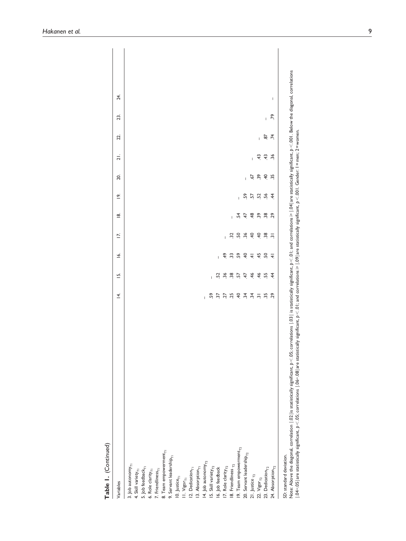| Table I. (Continued)                             |    |                |                        |                          |                                                                                                                               |                                   |                 |                |        |     |     |  |
|--------------------------------------------------|----|----------------|------------------------|--------------------------|-------------------------------------------------------------------------------------------------------------------------------|-----------------------------------|-----------------|----------------|--------|-----|-----|--|
| Variables                                        | 4. | $\overline{a}$ | $\bar{\mathcal{R}}$    | ΙŃ.                      | ≝                                                                                                                             | <u>െ</u>                          | 20.             | $\overline{2}$ | 22.    | 23. | 24. |  |
| 3. Job autonomy $_{71}$                          |    |                |                        |                          |                                                                                                                               |                                   |                 |                |        |     |     |  |
| 4. Skill variety <sub>T1</sub>                   |    |                |                        |                          |                                                                                                                               |                                   |                 |                |        |     |     |  |
| 5. Job feedback $_{\mathsf{T}\textsc{i}}$        |    |                |                        |                          |                                                                                                                               |                                   |                 |                |        |     |     |  |
| 6. Role clarity $_{\mathsf{T}\textsc{l}}$        |    |                |                        |                          |                                                                                                                               |                                   |                 |                |        |     |     |  |
| 7. Friendliness <sub>TI</sub>                    |    |                |                        |                          |                                                                                                                               |                                   |                 |                |        |     |     |  |
| 8. Team empowerment <sub>ri</sub>                |    |                |                        |                          |                                                                                                                               |                                   |                 |                |        |     |     |  |
| 9. Servant leadershi $p_{T1}$                    |    |                |                        |                          |                                                                                                                               |                                   |                 |                |        |     |     |  |
| 10. Justice $_{\mathsf{F}_1}$                    |    |                |                        |                          |                                                                                                                               |                                   |                 |                |        |     |     |  |
| $11.$ Vigor $_{T1}$                              |    |                |                        |                          |                                                                                                                               |                                   |                 |                |        |     |     |  |
| 12. Dedication $_{\mathsf{T}\textsc{l}}$         |    |                |                        |                          |                                                                                                                               |                                   |                 |                |        |     |     |  |
| 13. Absorption <sub>T1</sub>                     |    |                |                        |                          |                                                                                                                               |                                   |                 |                |        |     |     |  |
| 14. Job autonomy $_{T2}$                         |    |                |                        |                          |                                                                                                                               |                                   |                 |                |        |     |     |  |
| 15. Skill variety $_{\rm T2}$ 16. Job feedback   |    |                |                        |                          |                                                                                                                               |                                   |                 |                |        |     |     |  |
|                                                  |    |                |                        |                          |                                                                                                                               |                                   |                 |                |        |     |     |  |
| 17. Role clarity $_{\rm T2}$                     |    |                |                        |                          |                                                                                                                               |                                   |                 |                |        |     |     |  |
| 18. Friendliness $_{T2}$                         |    |                | <b>A 3 3 4 4 5 9 4</b> | <b>1 3 3 3 4 5 8 9 7</b> |                                                                                                                               |                                   |                 |                |        |     |     |  |
| 19. Team empowerment <sub>r2</sub>               |    |                |                        |                          |                                                                                                                               |                                   |                 |                |        |     |     |  |
| 20. Servant leadership $_{\rm T2}$               |    |                |                        |                          | $\frac{4}{7}$ $\frac{1}{4}$ $\frac{1}{4}$ $\frac{1}{6}$ $\frac{1}{8}$ $\frac{1}{9}$ $\frac{1}{8}$ $\frac{1}{9}$ $\frac{1}{9}$ | <b>  ដូ</b> ដូ ដូ ដូ <del>វ</del> |                 |                |        |     |     |  |
| 21. Justice $_{T2}$                              |    |                |                        |                          |                                                                                                                               |                                   |                 |                |        |     |     |  |
|                                                  |    |                |                        |                          |                                                                                                                               |                                   |                 |                |        |     |     |  |
| 22. $Vigor_{T2}$<br>23. Dedication <sub>T2</sub> |    |                |                        |                          |                                                                                                                               |                                   | $-5.89$ $-5.89$ | 1 5 5 20       | $-5.7$ |     |     |  |
| 24. Absorption <sub>12</sub>                     |    |                |                        |                          |                                                                                                                               |                                   |                 |                |        | , 8 | I   |  |
| SD: standard deviation.                          |    |                |                        |                          |                                                                                                                               |                                   |                 |                |        |     |     |  |

SD: standard deviation.<br>Note: Above the diagonal, correlation | ,02| is statistically signically signicant; p < .01; and correlations ≥ |.04|are statistically significant, p < .001. Below the diagonal, correlations<br>| .04− Note: Above the diagonal, correlation  $\mid \Omega \mid$  is statistically significant,  $p < 0$ 5; correlations  $\mid \Omega \mid$  is statistically significant,  $p < 0$  ; and correlations  $> 0$  ; and correlations  $> 0$  . Designitions  $p < 0$  . Be │.04−.05│are statistically significant, *p*<.05; correlations │.06−.08│are statistically significant, *p*<.01; and correlations⩾│.09│are statistically significant, *p*<.001. Gender: 1=men; 2=women.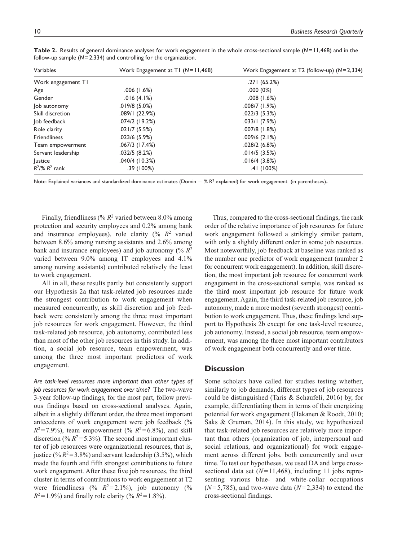| Variables           | Work Engagement at T1 $(N=11,468)$ | Work Engagement at T2 (follow-up) $(N=2,334)$ |
|---------------------|------------------------------------|-----------------------------------------------|
| Work engagement TI  |                                    | .271(65.2%)                                   |
| Age                 | .006(1.6%)                         | .000(0%)                                      |
| Gender              | .016(4.1%)                         | .008(1.6%)                                    |
| Job autonomy        | $.019/8(5.0\%)$                    | $.008/7$ (1.9%)                               |
| Skill discretion    | .089/1(22.9%)                      | $.022/3$ (5.3%)                               |
| Job feedback        | .074/2 (19.2%)                     | .033/1(7.9%)                                  |
| Role clarity        | .021/7(5.5%)                       | $.007/8$ (1.8%)                               |
| <b>Friendliness</b> | $.023/6$ (5.9%)                    | $.009/6$ (2.1%)                               |
| Team empowerment    | $.067/3$ (17.4%)                   | $.028/2$ (6.8%)                               |
| Servant leadership  | .032/5(8.2%)                       | .014/5(3.5%)                                  |
| <b>Justice</b>      | .040/4(10.3%)                      | .016/4(3.8%)                                  |
| $R^2$ /% $R^2$ rank | .39(100%)                          | .41(100%)                                     |

**Table 2.** Results of general dominance analyses for work engagement in the whole cross-sectional sample (*N*=11,468) and in the follow-up sample (*N*=2,334) and controlling for the organization.

Note: Explained variances and standardized dominance estimates (Domin =  $\%$  R<sup>2</sup> explained) for work engagement (in parentheses)..

Finally, friendliness ( $\%$   $R^2$  varied between 8.0% among protection and security employees and 0.2% among bank and insurance employees), role clarity  $(% R<sup>2</sup>$  varied between 8.6% among nursing assistants and 2.6% among bank and insurance employees) and job autonomy (% *R*<sup>2</sup> varied between 9.0% among IT employees and 4.1% among nursing assistants) contributed relatively the least to work engagement.

All in all, these results partly but consistently support our Hypothesis 2a that task-related job resources made the strongest contribution to work engagement when measured concurrently, as skill discretion and job feedback were consistently among the three most important job resources for work engagement. However, the third task-related job resource, job autonomy, contributed less than most of the other job resources in this study. In addition, a social job resource, team empowerment, was among the three most important predictors of work engagement.

*Are task-level resources more important than other types of job resources for work engagement over time?* The two-wave 3-year follow-up findings, for the most part, follow previous findings based on cross-sectional analyses. Again, albeit in a slightly different order, the three most important antecedents of work engagement were job feedback (%  $R^2 = 7.9\%$ , team empowerment (%  $R^2 = 6.8\%$ ), and skill discretion (%  $R^2$ =5.3%). The second most important cluster of job resources were organizational resources, that is, justice (% $R^2$ =3.8%) and servant leadership (3.5%), which made the fourth and fifth strongest contributions to future work engagement. After these five job resources, the third cluster in terms of contributions to work engagement at T2 were friendliness (%  $R^2 = 2.1\%$ ), job autonomy (%  $R^2 = 1.9\%$ ) and finally role clarity (%  $R^2 = 1.8\%$ ).

Thus, compared to the cross-sectional findings, the rank order of the relative importance of job resources for future work engagement followed a strikingly similar pattern, with only a slightly different order in some job resources. Most noteworthily, job feedback at baseline was ranked as the number one predictor of work engagement (number 2 for concurrent work engagement). In addition, skill discretion, the most important job resource for concurrent work engagement in the cross-sectional sample, was ranked as the third most important job resource for future work engagement. Again, the third task-related job resource, job autonomy, made a more modest (seventh strongest) contribution to work engagement. Thus, these findings lend support to Hypothesis 2b except for one task-level resource, job autonomy. Instead, a social job resource, team empowerment, was among the three most important contributors of work engagement both concurrently and over time.

## **Discussion**

Some scholars have called for studies testing whether, similarly to job demands, different types of job resources could be distinguished (Taris & Schaufeli, 2016) by, for example, differentiating them in terms of their energizing potential for work engagement (Hakanen & Roodt, 2010; Saks & Gruman, 2014). In this study, we hypothesized that task-related job resources are relatively more important than others (organization of job, interpersonal and social relations, and organizational) for work engagement across different jobs, both concurrently and over time. To test our hypotheses, we used DA and large crosssectional data set (*N*= 11,468), including 11 jobs representing various blue- and white-collar occupations (*N*= 5,785), and two-wave data (*N*= 2,334) to extend the cross-sectional findings.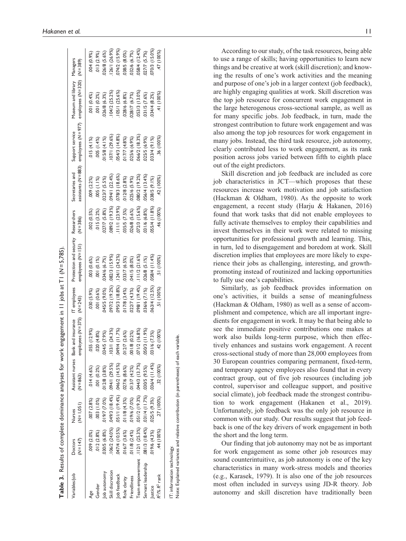|                                                                                                             |                        |                                                |                                             | <b>Table 3.</b> Results of complete dominance analyses for work engagement in $ 1 $ jobs at T1 (N=5,785) |                             |                                                                                                           |               |                  |                 |                                                                                                       |                  |
|-------------------------------------------------------------------------------------------------------------|------------------------|------------------------------------------------|---------------------------------------------|----------------------------------------------------------------------------------------------------------|-----------------------------|-----------------------------------------------------------------------------------------------------------|---------------|------------------|-----------------|-------------------------------------------------------------------------------------------------------|------------------|
| Variables/job                                                                                               | $(N = 147)$<br>Doctors | $(N = 1,051)$<br><b>Nurses</b>                 | $(N = 863)$                                 | employees ( $N = 375$ ) ( $N = 243$ )                                                                    |                             | Assistant nurses Bank and insurance IT employees Protection and security Researchers<br>employees (N=151) | $(N=386)$     | Secretaries and  | Support service | Museum and library Managers<br>assistants (N = 883) employees (N = 977) employees (N = 320) (N = 389) |                  |
| Age                                                                                                         | 009 (2.0%)             | .007(2.8%)                                     | .014(4.6%)                                  | .055(12.9%)                                                                                              | 030 (5.9%)                  | 003(0.6%)                                                                                                 | 002 (0.5%)    | 009 (2.2%)       | .015(4.1%)      | 001(0.4%)                                                                                             | $(9, 6, 0)$ +00. |
| Gender                                                                                                      | .012(2.8%)             | 003 (1.0%)                                     | .001(0.2%)                                  | 020(4.8%)                                                                                                | 0.6%) 100.                  | .001(0.1%)                                                                                                | .015(3.2%)    | $.005$ $(1.1\%)$ | (0.496)         | 001 (0.2%)                                                                                            | 013 (2.9%)       |
| ob autonomy                                                                                                 | 030/5(6.8%)            | 019/7 (7.0%)                                   | $.012/8$ $(3.8\%)$                          | 034/5 (7.9%)                                                                                             | 045/5 (9.0%)                | 034/6 (6.7%)                                                                                              | 027/7 (5.8%)  | $.023/7$ (5.5%)  | 015/8 (4.1%)    | 026/8 (6.3%)                                                                                          | 026/8 (5.6%)     |
| Skill discretion                                                                                            |                        | $(106/2 (24.0%)$ $(18.4%)$ $(18.4%)$ $(29.5%)$ |                                             | .103/1(24.3%)                                                                                            | 097/2 (19.2%)               | 082/3 (15.9%)                                                                                             | 089/2 (19.3%) | 094/1 (22.4%)    | 107/1 (29.6%)   | 104/2 (25.2%)                                                                                         | 126/1 (26.9%)    |
| ob feedback                                                                                                 |                        |                                                | 047/4 (10.5%) .051/1 (19.4%) .046/2 (14.5%) | 49/4 (11.7%)                                                                                             | 095/3 (18.8%) 124/1 (24.2%) |                                                                                                           | 111/1 (23.9%) | 078/3 (18.6%)    | 054/3 (14.8%)   | 105/1 (25.6%)                                                                                         | 074/2 (15.9%)    |
| Role clarity                                                                                                | 16/7 (3.6%)            | $.011/8$ (4.3%)                                | 027/6 (8.6%)                                | $12/7$ $(2.6\%)$                                                                                         | 017/8 (3.4%)                | 033/7 (6.5%)                                                                                              | 035/5 (7.5%)  | 012/8 (2.8%)     | 017/7 (4.8%)    | 028/6 (6.8%)                                                                                          | 038/5 (8.0%)     |
| Friendliness                                                                                                | $011/8(2.4\%)$         | 019/6 (7.0%)                                   | 013/7 (4.2%)                                | 01/8 (0.2%)                                                                                              | 022/7 (4.3%)                | 041/5 (8.0%)                                                                                              | 026/8 (5.6%)  | 025/6 (5.9%)     | 025/6 (6.9%)    | 028/7 (6.7%)                                                                                          | 032/6 (6.7%)     |
| Team empowerment . 112/1 (25.3%)                                                                            |                        | 051/2 (19.3%)                                  | .044/3(13.7%)                               | 71/2 (16.8%)                                                                                             | 098/1 (19.4%)               | .111/2(21.6%)                                                                                             | 072/3 (15.6%) | 080/2 (19.2%)    | 066/2 (18.3%)   | 053/3 (13.0%)                                                                                         | 058/4 (12.4%)    |
| Servant leadership                                                                                          | $.081/3$ (18.4%)       | $(9.52)$ 5/050. $(9.711)$ 4/150.               |                                             | 50/3 (11.9%)                                                                                             | 036/6 (7.1%)                | 026/8 (5.1%)                                                                                              | 031/6 (6.8%)  | 056/4 (13.4%)    | 025/5 (6.9%)    | 031/5 (7.6%)                                                                                          | 027/7 (5.7%)     |
| lustice                                                                                                     | 019/6 (4.3%)           | $.025/5$ (9.3%)                                | $.036/4$ (11.4%)                            | $.031/6$ $(7.3\%)$                                                                                       | 063/4 (12.5%)               | $(11.4\%)$                                                                                                | 055/4 (11.8%) | 038/5 (9.1%)     | 033/4 (9.1%)    | 034/4 (8.2%)                                                                                          | 070/3 (15.0%)    |
| $R^2/% R^2$ rank                                                                                            | 44(100%)               | .27 (100%)                                     | .32 (100%)                                  | .42(100%)                                                                                                | 51 (100%)                   | .51(100%)                                                                                                 | .46 (100%)    | 42(100%)         | 36 (100%)       | (100%)                                                                                                | 47 (100%)        |
| Note: Explained variances and relative contribution (in parentheses) of each<br>IT: information technology. |                        |                                                |                                             | variable.                                                                                                |                             |                                                                                                           |               |                  |                 |                                                                                                       |                  |

According to our study, of the task resources, being able to use a range of skills; having opportunities to learn new things and be creative at work (skill discretion); and know ing the results of one's work activities and the meaning and purpose of one's job in a larger context (job feedback), are highly engaging qualities at work. Skill discretion was the top job resource for concurrent work engagement in the large heterogenous cross-sectional sample, as well as for many specific jobs. Job feedback, in turn, made the strongest contribution to future work engagement and was also among the top job resources for work engagement in many jobs. Instead, the third task resource, job autonomy, clearly contributed less to work engagement, as its rank position across jobs varied between fifth to eighth place out of the eight predictors.

Skill discretion and job feedback are included as core job characteristics in JCT—which proposes that these resources increase work motivation and job satisfaction (Hackman & Oldham, 1980). As the opposite to work engagement, a recent study (Harju & Hakanen, 2016) found that work tasks that did not enable employees to fully activate themselves to employ their capabilities and invest themselves in their work were related to missing opportunities for professional growth and learning. This, in turn, led to disengagement and boredom at work. Skill discretion implies that employees are more likely to expe rience their jobs as challenging, interesting, and growthpromoting instead of routinized and lacking opportunities to fully use one's capabilities.

Similarly, as job feedback provides information on one's activities, it builds a sense of meaningfulness (Hackman & Oldham, 1980) as well as a sense of accom plishment and competence, which are all important ingre dients for engagement in work. It may be that being able to see the immediate positive contributions one makes at work also builds long-term purpose, which then effec tively enhances and sustains work engagement. A recent cross-sectional study of more than 28,000 employees from 30 European countries comparing permanent, fixed-term, and temporary agency employees also found that in every contract group, out of five job resources (including job control, supervisor and colleague support, and positive social climate), job feedback made the strongest contribu tion to work engagement (Hakanen et al., 2019). Unfortunately, job feedback was the only job resource in common with our study. Our results suggest that job feed back is one of the key drivers of work engagement in both the short and the long term.

Our finding that job autonomy may not be as important for work engagement as some other job resources may sound counterintuitive, as job autonomy is one of the key characteristics in many work-stress models and theories (e.g., Karasek, 1979). It is also one of the job resources most often included in surveys using JD-R theory. Job autonomy and skill discretion have traditionally been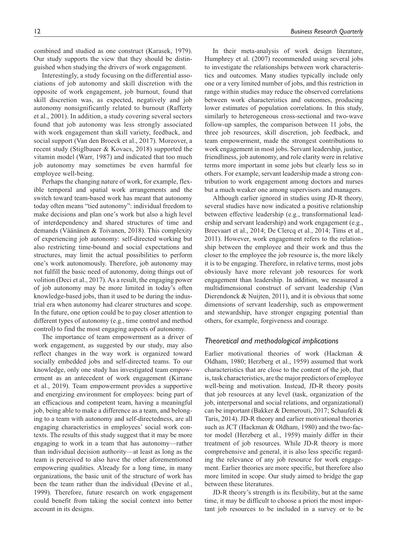combined and studied as one construct (Karasek, 1979). Our study supports the view that they should be distinguished when studying the drivers of work engagement.

Interestingly, a study focusing on the differential associations of job autonomy and skill discretion with the opposite of work engagement, job burnout, found that skill discretion was, as expected, negatively and job autonomy nonsignificantly related to burnout (Rafferty et al., 2001). In addition, a study covering several sectors found that job autonomy was less strongly associated with work engagement than skill variety, feedback, and social support (Van den Broeck et al., 2017). Moreover, a recent study (Stiglbauer & Kovacs, 2018) supported the vitamin model (Warr, 1987) and indicated that too much job autonomy may sometimes be even harmful for employee well-being.

Perhaps the changing nature of work, for example, flexible temporal and spatial work arrangements and the switch toward team-based work has meant that autonomy today often means "tied autonomy": individual freedom to make decisions and plan one's work but also a high level of interdependency and shared structures of time and demands (Väänänen & Toivanen, 2018). This complexity of experiencing job autonomy: self-directed working but also restricting time-bound and social expectations and structures, may limit the actual possibilities to perform one's work autonomously. Therefore, job autonomy may not fulfill the basic need of autonomy, doing things out of volition (Deci et al., 2017). As a result, the engaging power of job autonomy may be more limited in today's often knowledge-based jobs, than it used to be during the industrial era when autonomy had clearer structures and scope. In the future, one option could be to pay closer attention to different types of autonomy (e.g., time control and method control) to find the most engaging aspects of autonomy.

The importance of team empowerment as a driver of work engagement, as suggested by our study, may also reflect changes in the way work is organized toward socially embedded jobs and self-directed teams. To our knowledge, only one study has investigated team empowerment as an antecedent of work engagement (Kirrane et al., 2019). Team empowerment provides a supportive and energizing environment for employees: being part of an efficacious and competent team, having a meaningful job, being able to make a difference as a team, and belonging to a team with autonomy and self-directedness, are all engaging characteristics in employees' social work contexts. The results of this study suggest that it may be more engaging to work in a team that has autonomy—rather than individual decision authority—at least as long as the team is perceived to also have the other aforementioned empowering qualities. Already for a long time, in many organizations, the basic unit of the structure of work has been the team rather than the individual (Devine et al., 1999). Therefore, future research on work engagement could benefit from taking the social context into better account in its designs.

In their meta-analysis of work design literature, Humphrey et al. (2007) recommended using several jobs to investigate the relationships between work characteristics and outcomes. Many studies typically include only one or a very limited number of jobs, and this restriction in range within studies may reduce the observed correlations between work characteristics and outcomes, producing lower estimates of population correlations. In this study, similarly to heterogeneous cross-sectional and two-wave follow-up samples, the comparison between 11 jobs, the three job resources, skill discretion, job feedback, and team empowerment, made the strongest contributions to work engagement in most jobs. Servant leadership, justice, friendliness, job autonomy, and role clarity were in relative terms more important in some jobs but clearly less so in others. For example, servant leadership made a strong contribution to work engagement among doctors and nurses but a much weaker one among supervisors and managers.

Although earlier ignored in studies using JD-R theory, several studies have now indicated a positive relationship between effective leadership (e.g., transformational leadership and servant leadership) and work engagement (e.g., Breevaart et al., 2014; De Clercq et al., 2014; Tims et al., 2011). However, work engagement refers to the relationship between the employee and their work and thus the closer to the employee the job resource is, the more likely it is to be engaging. Therefore, in relative terms, most jobs obviously have more relevant job resources for work engagement than leadership. In addition, we measured a multidimensional construct of servant leadership (Van Dierendonck & Nuijten, 2011), and it is obvious that some dimensions of servant leadership, such as empowerment and stewardship, have stronger engaging potential than others, for example, forgiveness and courage.

## *Theoretical and methodological implications*

Earlier motivational theories of work (Hackman & Oldham, 1980; Herzberg et al., 1959) assumed that work characteristics that are close to the content of the job, that is, task characteristics, are the major predictors of employee well-being and motivation. Instead, JD-R theory posits that job resources at any level (task, organization of the job, interpersonal and social relations, and organizational) can be important (Bakker & Demerouti, 2017; Schaufeli & Taris, 2014). JD-R theory and earlier motivational theories such as JCT (Hackman & Oldham, 1980) and the two-factor model (Herzberg et al., 1959) mainly differ in their treatment of job resources. While JD-R theory is more comprehensive and general, it is also less specific regarding the relevance of any job resource for work engagement. Earlier theories are more specific, but therefore also more limited in scope. Our study aimed to bridge the gap between these literatures.

JD-R theory's strength is its flexibility, but at the same time, it may be difficult to choose a priori the most important job resources to be included in a survey or to be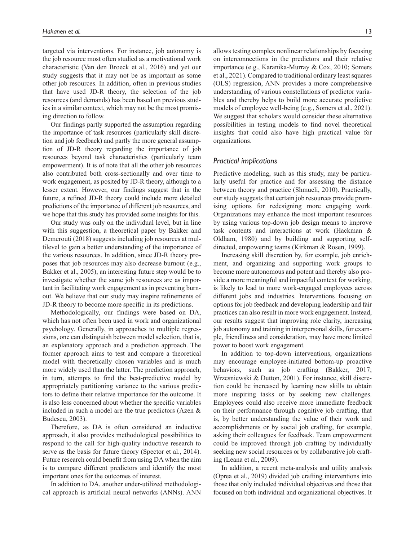targeted via interventions. For instance, job autonomy is the job resource most often studied as a motivational work characteristic (Van den Broeck et al., 2016) and yet our study suggests that it may not be as important as some other job resources. In addition, often in previous studies that have used JD-R theory, the selection of the job resources (and demands) has been based on previous studies in a similar context, which may not be the most promising direction to follow.

Our findings partly supported the assumption regarding the importance of task resources (particularly skill discretion and job feedback) and partly the more general assumption of JD-R theory regarding the importance of job resources beyond task characteristics (particularly team empowerment). It is of note that all the other job resources also contributed both cross-sectionally and over time to work engagement, as posited by JD-R theory, although to a lesser extent. However, our findings suggest that in the future, a refined JD-R theory could include more detailed predictions of the importance of different job resources, and we hope that this study has provided some insights for this.

Our study was only on the individual level, but in line with this suggestion, a theoretical paper by Bakker and Demerouti (2018) suggests including job resources at multilevel to gain a better understanding of the importance of the various resources. In addition, since JD-R theory proposes that job resources may also decrease burnout (e.g., Bakker et al., 2005), an interesting future step would be to investigate whether the same job resources are as important in facilitating work engagement as in preventing burnout. We believe that our study may inspire refinements of JD-R theory to become more specific in its predictions.

Methodologically, our findings were based on DA, which has not often been used in work and organizational psychology. Generally, in approaches to multiple regressions, one can distinguish between model selection, that is, an explanatory approach and a prediction approach. The former approach aims to test and compare a theoretical model with theoretically chosen variables and is much more widely used than the latter. The prediction approach, in turn, attempts to find the best-predictive model by appropriately partitioning variance to the various predictors to define their relative importance for the outcome. It is also less concerned about whether the specific variables included in such a model are the true predictors (Azen & Budescu, 2003).

Therefore, as DA is often considered an inductive approach, it also provides methodological possibilities to respond to the call for high-quality inductive research to serve as the basis for future theory (Spector et al., 2014). Future research could benefit from using DA when the aim is to compare different predictors and identify the most important ones for the outcomes of interest.

In addition to DA, another under-utilized methodological approach is artificial neural networks (ANNs). ANN

allows testing complex nonlinear relationships by focusing on interconnections in the predictors and their relative importance (e.g., Karanika-Murray & Cox, 2010; Somers et al., 2021). Compared to traditional ordinary least squares (OLS) regression, ANN provides a more comprehensive understanding of various constellations of predictor variables and thereby helps to build more accurate predictive models of employee well-being (e.g., Somers et al., 2021). We suggest that scholars would consider these alternative possibilities in testing models to find novel theoretical insights that could also have high practical value for organizations.

#### *Practical implications*

Predictive modeling, such as this study, may be particularly useful for practice and for assessing the distance between theory and practice (Shmueli, 2010). Practically, our study suggests that certain job resources provide promising options for redesigning more engaging work. Organizations may enhance the most important resources by using various top-down job design means to improve task contents and interactions at work (Hackman & Oldham, 1980) and by building and supporting selfdirected, empowering teams (Kirkman & Rosen, 1999).

Increasing skill discretion by, for example, job enrichment, and organizing and supporting work groups to become more autonomous and potent and thereby also provide a more meaningful and impactful context for working, is likely to lead to more work-engaged employees across different jobs and industries. Interventions focusing on options for job feedback and developing leadership and fair practices can also result in more work engagement. Instead, our results suggest that improving role clarity, increasing job autonomy and training in interpersonal skills, for example, friendliness and consideration, may have more limited power to boost work engagement.

In addition to top-down interventions, organizations may encourage employee-initiated bottom-up proactive behaviors, such as job crafting (Bakker, 2017; Wrzesniewski & Dutton, 2001). For instance, skill discretion could be increased by learning new skills to obtain more inspiring tasks or by seeking new challenges. Employees could also receive more immediate feedback on their performance through cognitive job crafting, that is, by better understanding the value of their work and accomplishments or by social job crafting, for example, asking their colleagues for feedback. Team empowerment could be improved through job crafting by individually seeking new social resources or by collaborative job crafting (Leana et al., 2009).

In addition, a recent meta-analysis and utility analysis (Oprea et al., 2019) divided job crafting interventions into those that only included individual objectives and those that focused on both individual and organizational objectives. It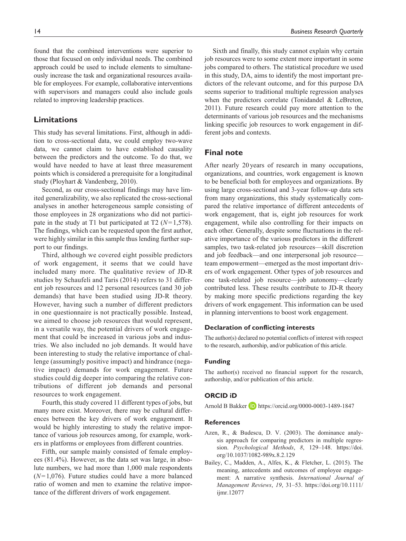found that the combined interventions were superior to those that focused on only individual needs. The combined approach could be used to include elements to simultaneously increase the task and organizational resources available for employees. For example, collaborative interventions with supervisors and managers could also include goals related to improving leadership practices.

## **Limitations**

This study has several limitations. First, although in addition to cross-sectional data, we could employ two-wave data, we cannot claim to have established causality between the predictors and the outcome. To do that, we would have needed to have at least three measurement points which is considered a prerequisite for a longitudinal study (Ployhart & Vandenberg, 2010).

Second, as our cross-sectional findings may have limited generalizability, we also replicated the cross-sectional analyses in another heterogeneous sample consisting of those employees in 28 organizations who did not participate in the study at T1 but participated at T2 (*N*=1,578). The findings, which can be requested upon the first author, were highly similar in this sample thus lending further support to our findings.

Third, although we covered eight possible predictors of work engagement, it seems that we could have included many more. The qualitative review of JD-R studies by Schaufeli and Taris (2014) refers to 31 different job resources and 12 personal resources (and 30 job demands) that have been studied using JD-R theory. However, having such a number of different predictors in one questionnaire is not practically possible. Instead, we aimed to choose job resources that would represent, in a versatile way, the potential drivers of work engagement that could be increased in various jobs and industries. We also included no job demands. It would have been interesting to study the relative importance of challenge (assumingly positive impact) and hindrance (negative impact) demands for work engagement. Future studies could dig deeper into comparing the relative contributions of different job demands and personal resources to work engagement.

Fourth, this study covered 11 different types of jobs, but many more exist. Moreover, there may be cultural differences between the key drivers of work engagement. It would be highly interesting to study the relative importance of various job resources among, for example, workers in platforms or employees from different countries.

Fifth, our sample mainly consisted of female employees (81.4%). However, as the data set was large, in absolute numbers, we had more than 1,000 male respondents (*N*=1,076). Future studies could have a more balanced ratio of women and men to examine the relative importance of the different drivers of work engagement.

Sixth and finally, this study cannot explain why certain job resources were to some extent more important in some jobs compared to others. The statistical procedure we used in this study, DA, aims to identify the most important predictors of the relevant outcome, and for this purpose DA seems superior to traditional multiple regression analyses when the predictors correlate (Tonidandel & LeBreton, 2011). Future research could pay more attention to the determinants of various job resources and the mechanisms linking specific job resources to work engagement in different jobs and contexts.

## **Final note**

After nearly 20 years of research in many occupations, organizations, and countries, work engagement is known to be beneficial both for employees and organizations. By using large cross-sectional and 3-year follow-up data sets from many organizations, this study systematically compared the relative importance of different antecedents of work engagement, that is, eight job resources for work engagement, while also controlling for their impacts on each other. Generally, despite some fluctuations in the relative importance of the various predictors in the different samples, two task-related job resources—skill discretion and job feedback—and one interpersonal job resource team empowerment—emerged as the most important drivers of work engagement. Other types of job resources and one task-related job resource—job autonomy—clearly contributed less. These results contribute to JD-R theory by making more specific predictions regarding the key drivers of work engagement. This information can be used in planning interventions to boost work engagement.

#### **Declaration of conflicting interests**

The author(s) declared no potential conflicts of interest with respect to the research, authorship, and/or publication of this article.

## **Funding**

The author(s) received no financial support for the research, authorship, and/or publication of this article.

## **ORCID iD**

Arnold B Bakker **iD** <https://orcid.org/0000-0003-1489-1847>

#### **References**

- Azen, R., & Budescu, D. V. (2003). The dominance analysis approach for comparing predictors in multiple regression. *Psychological Methods*, *8*, 129–148. [https://doi.](https://doi.org/10.1037/1082-989x.8.2.129) [org/10.1037/1082-989x.8.2.129](https://doi.org/10.1037/1082-989x.8.2.129)
- Bailey, C., Madden, A., Alfes, K., & Fletcher, L. (2015). The meaning, antecedents and outcomes of employee engagement: A narrative synthesis. *International Journal of Management Reviews*, *19*, 31–53. [https://doi.org/10.1111/](https://doi.org/10.1111/ijmr.12077) [ijmr.12077](https://doi.org/10.1111/ijmr.12077)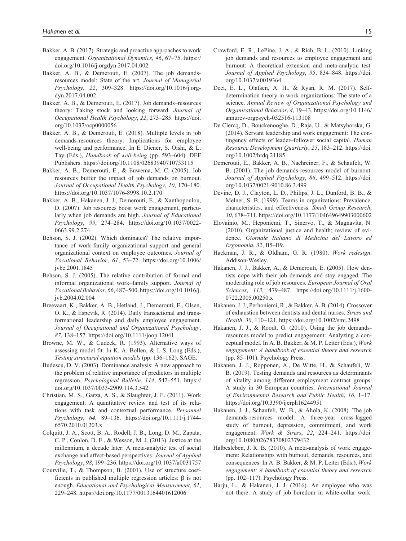- Bakker, A. B. (2017). Strategic and proactive approaches to work engagement. *Organizational Dynamics*, *46*, 67–75. [https://](https://doi.org/10.1016/j.orgdyn.2017.04.002) [doi.org/10.1016/j.orgdyn.2017.04.002](https://doi.org/10.1016/j.orgdyn.2017.04.002)
- Bakker, A. B., & Demerouti, E. (2007). The job demandsresources model: State of the art. *Journal of Managerial Psychology*, *22*, 309–328. [https://doi.org/10.1016/j.org](https://doi.org/10.1016/j.orgdyn.2017.04.002)[dyn.2017.04.002](https://doi.org/10.1016/j.orgdyn.2017.04.002)
- Bakker, A. B., & Demerouti, E. (2017). Job demands–resources theory: Taking stock and looking forward. *Journal of Occupational Health Psychology*, *22*, 273–285. [https://doi.](https://doi.org/10.1037/ocp0000056) [org/10.1037/ocp0000056](https://doi.org/10.1037/ocp0000056)
- Bakker, A. B., & Demerouti, E. (2018). Multiple levels in job demands-resources theory: Implications for employee well-being and performance. In E. Diener, S. Oishi, & L. Tay (Eds.), *Handbook of well-being* (pp. 593–604). DEF Publishers.<https://doi.org/10.1108/02683940710733115>
- Bakker, A. B., Demerouti, E., & Euwema, M. C. (2005). Job resources buffer the impact of job demands on burnout. *Journal of Occupational Health Psychology*, *10*, 170–180. <https://doi.org/10.1037/1076-8998.10.2.170>
- Bakker, A. B., Hakanen, J. J., Demerouti, E., & Xanthopoulou, D. (2007). Job resources boost work engagement, particularly when job demands are high. *Journal of Educational Psychology*, *99*, 274–284. [https://doi.org/10.1037/0022-](https://doi.org/10.1037/0022-0663.99.2.274) [0663.99.2.274](https://doi.org/10.1037/0022-0663.99.2.274)
- Behson, S. J. (2002). Which dominates? The relative importance of work-family organizational support and general organizational context on employee outcomes. *Journal of Vocational Behavior*, *61*, 53–72. [https://doi.org/10.1006/](https://doi.org/10.1006/jvbe.2001.1845) [jvbe.2001.1845](https://doi.org/10.1006/jvbe.2001.1845)
- Behson, S. J. (2005). The relative contribution of formal and informal organizational work–family support. *Journal of Vocational Behavior*, *66*, 487–500. [https://doi.org/10.1016/j.](https://doi.org/10.1016/j.jvb.2004.02.004) [jvb.2004.02.004](https://doi.org/10.1016/j.jvb.2004.02.004)
- Breevaart, K., Bakker, A. B., Hetland, J., Demerouti, E., Olsen, O. K., & Espevik, R. (2014). Daily transactional and transformational leadership and daily employee engagement. *Journal of Occupational and Organizational Psychology*, *87*, 138–157. <https://doi.org/10.1111/joop.12041>
- Browne, M. W., & Cudeck, R. (1993). Alternative ways of assessing model fit. In K. A. Bollen, & J. S. Long (Eds.), *Testing structural equation models* (pp. 136–162). SAGE.
- Budescu, D. V. (2003). Dominance analysis: A new approach to the problem of relative importance of predictors in multiple regression. *Psychological Bulletin*, *114*, 542–551. [https://](https://doi.org/10.1037/0033-2909.114.3.542) [doi.org/10.1037/0033-2909.114.3.542](https://doi.org/10.1037/0033-2909.114.3.542)
- Christian, M. S., Garza, A. S., & Slaughter, J. E. (2011). Work engagement: A quantitative review and test of its relations with task and contextual performance. *Personnel Psychology*, *64*, 89–136. [https://doi.org/10.1111/j.1744-](https://doi.org/10.1111/j.1744-6570.2010.01203.x) [6570.2010.01203.x](https://doi.org/10.1111/j.1744-6570.2010.01203.x)
- Colquitt, J. A., Scott, B. A., Rodell, J. B., Long, D. M., Zapata, C. P., Conlon, D. E., & Wesson, M. J. (2013). Justice at the millennium, a decade later: A meta-analytic test of social exchange and affect-based perspectives. *Journal of Applied Psychology*, *98*, 199–236. <https://doi.org/10.1037/a0031757>
- Courville, T., & Thompson, B. (2001). Use of structure coefficients in published multiple regression articles: β is not enough. *Educational and Psychological Measurement*, *61*, 229–248.<https://doi.org/10.1177/0013164401612006>
- Crawford, E. R., LePine, J. A., & Rich, B. L. (2010). Linking job demands and resources to employee engagement and burnout: A theoretical extension and meta-analytic test. *Journal of Applied Psychology*, *95*, 834–848. [https://doi.](https://doi.org/10.1037/a0019364) [org/10.1037/a0019364](https://doi.org/10.1037/a0019364)
- Deci, E. L., Olafsen, A. H., & Ryan, R. M. (2017). Selfdetermination theory in work organizations: The state of a science. *Annual Review of Organizational Psychology and Organizational Behavior*, *4*, 19–43. [https://doi.org/10.1146/](https://doi.org/10.1146/annurev-orgpsych-032516-113108) [annurev-orgpsych-032516-113108](https://doi.org/10.1146/annurev-orgpsych-032516-113108)
- De Clercq, D., Bouckenooghe, D., Raja, U., & Matsyborska, G. (2014). Servant leadership and work engagement: The contingency effects of leader–follower social capital. *Human Resource Development Quarterly*, *25*, 183–212. [https://doi.](https://doi.org/10.1002/hrdq.21185) [org/10.1002/hrdq.21185](https://doi.org/10.1002/hrdq.21185)
- Demerouti, E., Bakker, A. B., Nachreiner, F., & Schaufeli, W. B. (2001). The job demands-resources model of burnout. *Journal of Applied Psychology*, *86*, 499–512. [https://doi.](https://doi.org/10.1037/0021-9010.86.3.499) [org/10.1037/0021-9010.86.3.499](https://doi.org/10.1037/0021-9010.86.3.499)
- Devine, D. J., Clayton, L. D., Philips, J. L., Dunford, B. B., & Melner, S. B. (1999). Teams in organizations: Prevalence, characteristics, and effectiveness. *Small Group Research*, *30*, 678–711.<https://doi.org/10.1177/104649649903000602>
- Elovainio, M., Heponiemi, T., Sinervo, T., & Magnavita, N. (2010). Organizational justice and health; review of evidence. *Giornale Italiano di Medicina del Lavoro ed Ergonomia*, *32*, B5–B9.
- Hackman, J. R., & Oldham, G. R. (1980). *Work redesign*. Addison-Wesley.
- Hakanen, J. J., Bakker, A., & Demerouti, E. (2005). How dentists cope with their job demands and stay engaged: The moderating role of job resources. *European Journal of Oral Sciences*, *113*, 479–487. [https://doi.org/10.1111/j.1600-](https://doi.org/10.1111/j.1600-0722.2005.00250.x) [0722.2005.00250.x](https://doi.org/10.1111/j.1600-0722.2005.00250.x)
- Hakanen, J. J., Perhoniemi, R., & Bakker, A. B. (2014). Crossover of exhaustion between dentists and dental nurses. *Stress and Health*, *30*, 110–121. <https://doi.org/10.1002/smi.2498>
- Hakanen, J. J., & Roodt, G. (2010). Using the job demandsresources model to predict engagement: Analyzing a conceptual model. In A. B. Bakker, & M. P. Leiter (Eds.), *Work engagement: A handbook of essential theory and research* (pp. 85–101). Psychology Press.
- Hakanen, J. J., Ropponen, A., De Witte, H., & Schaufeli, W. B. (2019). Testing demands and resources as determinants of vitality among different employment contract groups. A study in 30 European countries. *International Journal of Environmental Research and Public Health*, *16*, 1–17. <https://doi.org/10.3390/ijerph16244951>
- Hakanen, J. J., Schaufeli, W. B., & Ahola, K. (2008). The job demands-resources model: A three-year cross-lagged study of burnout, depression, commitment, and work engagement. *Work & Stress*, *22*, 224–241. [https://doi.](https://doi.org/10.1080/02678370802379432) [org/10.1080/02678370802379432](https://doi.org/10.1080/02678370802379432)
- Halbesleben, J. R. B. (2010). A meta-analysis of work engagement: Relationships with burnout, demands, resources, and consequences. In A. B. Bakker, & M. P. Leiter (Eds.), *Work engagement: A handbook of essential theory and research* (pp. 102–117). Psychology Press.
- Harju, L., & Hakanen, J. J. (2016). An employee who was not there: A study of job boredom in white-collar work.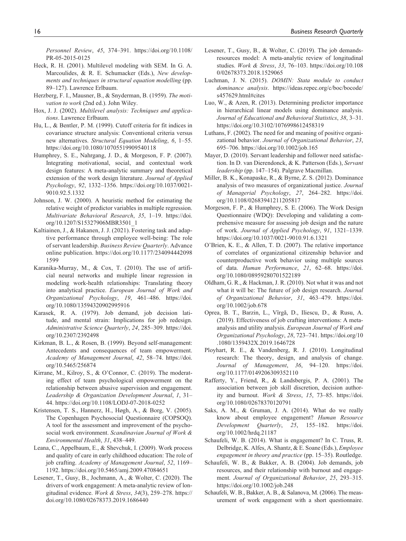*Personnel Review*, *45*, 374–391. [https://doi.org/10.1108/](https://doi.org/10.1108/PR-05-2015-0125) [PR-05-2015-0125](https://doi.org/10.1108/PR-05-2015-0125)

- Heck, R. H. (2001). Multilevel modeling with SEM. In G. A. Marcoulides, & R. E. Schumacker (Eds.), *New developments and techniques in structural equation modelling* (pp. 89–127). Lawrence Erlbaum.
- Herzberg, F. I., Mausner, B., & Snyderman, B. (1959). *The motivation to work* (2nd ed.). John Wiley.
- Hox, J. J. (2002). *Multilevel analysis: Techniques and applications*. Lawrence Erlbaum.
- Hu, L., & Bentler, P. M. (1999). Cutoff criteria for fit indices in covariance structure analysis: Conventional criteria versus new alternatives. *Structural Equation Modeling*, *6*, 1–55. <https://doi.org/10.1080/10705519909540118>
- Humphrey, S. E., Nahrgang, J. D., & Morgeson, F. P. (2007). Integrating motivational, social, and contextual work design features: A meta-analytic summary and theoretical extension of the work design literature. *Journal of Applied Psychology*, *92*, 1332–1356. [https://doi.org/10.1037/0021-](https://doi.org/10.1037/0021-9010.92.5.1332) [9010.92.5.1332](https://doi.org/10.1037/0021-9010.92.5.1332)
- Johnson, J. W. (2000). A heuristic method for estimating the relative weight of predictor variables in multiple regression. *Multivariate Behavioral Research*, *35*, 1–19. [https://doi.](https://doi.org/10.1207/S15327906MBR3501_1) [org/10.1207/S15327906MBR3501\\_1](https://doi.org/10.1207/S15327906MBR3501_1)
- Kaltiainen, J., & Hakanen, J. J. (2021). Fostering task and adaptive performance through employee well-being: The role of servant leadership. *Business Review Quarterly*. Advance online publication. [https://doi.org/10.1177/234094442098](https://doi.org/10.1177/2340944420981599) [1599](https://doi.org/10.1177/2340944420981599)
- Karanika-Murray, M., & Cox, T. (2010). The use of artificial neural networks and multiple linear regression in modeling work-health relationships: Translating theory into analytical practice. *European Journal of Work and Organizational Psychology*, *19*, 461–486. [https://doi.](https://doi.org/10.1080/13594320902995916) [org/10.1080/13594320902995916](https://doi.org/10.1080/13594320902995916)
- Karasek, R. A. (1979). Job demand, job decision latitude, and mental strain: Implications for job redesign. *Administrative Science Quarterly*, *24*, 285–309. [https://doi.](https://doi.org/10.2307/2392498) [org/10.2307/2392498](https://doi.org/10.2307/2392498)
- Kirkman, B. L., & Rosen, B. (1999). Beyond self-management: Antecedents and consequences of team empowerment. *Academy of Management Journal*, *42*, 58–74. [https://doi.](https://doi.org/10.5465/256874) [org/10.5465/256874](https://doi.org/10.5465/256874)
- Kirrane, M., Kilroy, S., & O'Connor, C. (2019). The moderating effect of team psychological empowerment on the relationship between abusive supervision and engagement. *Leadership & Organization Development Journal*, *1*, 31– 44.<https://doi.org/10.1108/LODJ-07-2018-0252>
- Kristensen, T. S., Hannerz, H., Høgh, A., & Borg, V. (2005). The Copenhagen Psychosocial Questionnaire (COPSOQ). A tool for the assessment and improvement of the psychosocial work environment. *Scandinavian Journal of Work & Environmental Health*, *31*, 438–449.
- Leana, C., Appelbaum, E., & Shevchuk, I. (2009). Work process and quality of care in early childhood education: The role of job crafting. *Academy of Management Journal*, *52*, 1169– 1192.<https://doi.org/10.5465/amj.2009.47084651>
- Lesener, T., Gusy, B., Jochmann, A., & Wolter, C. (2020). The drivers of work engagement: A meta-analytic review of longitudinal evidence. *Work & Stress*, *34*(3), 259–278. [https://](https://doi.org/10.1080/02678373.2019.1686440) [doi.org/10.1080/02678373.2019.1686440](https://doi.org/10.1080/02678373.2019.1686440)
- Lesener, T., Gusy, B., & Wolter, C. (2019). The job demandsresources model: A meta-analytic review of longitudinal studies. *Work & Stress*, *33*, 76–103. [https://doi.org/10.108](https://doi.org/10.1080/02678373.2018.1529065) [0/02678373.2018.1529065](https://doi.org/10.1080/02678373.2018.1529065)
- Luchman, J. N. (2015). *DOMIN: Stata module to conduct dominance analysis*. [https://ideas.repec.org/c/boc/bocode/](https://ideas.repec.org/c/boc/bocode/s457629.html#cites) [s457629.html#cites](https://ideas.repec.org/c/boc/bocode/s457629.html#cites)
- Luo, W., & Azen, R. (2013). Determining predictor importance in hierarchical linear models using dominance analysis. *Journal of Educational and Behavioral Statistics*, *38*, 3–31. <https://doi.org/10.3102/1076998612458319>
- Luthans, F. (2002). The need for and meaning of positive organizational behavior. *Journal of Organizational Behavior*, *23*, 695–706.<https://doi.org/10.1002/job.165>
- Mayer, D. (2010). Servant leadership and follower need satisfaction. In D. van Dierendonck, & K. Patterson (Eds.), *Servant leadership* (pp. 147–154). Palgrave Macmillan.
- Miller, B. K., Konapaske, R., & Byrne, Z. S. (2012). Dominance analysis of two measures of organizational justice. *Journal of Managerial Psychology*, *27*, 264–282. [https://doi.](https://doi.org/10.1108/02683941211205817) [org/10.1108/02683941211205817](https://doi.org/10.1108/02683941211205817)
- Morgeson, F. P., & Humphrey, S. E. (2006). The Work Design Questionnaire (WDQ): Developing and validating a comprehensive measure for assessing job design and the nature of work. *Journal of Applied Psychology*, *91*, 1321–1339. <https://doi.org/10.1037/0021-9010.91.6.1321>
- O'Brien, K. E., & Allen, T. D. (2007). The relative importance of correlates of organizational citizenship behavior and counterproductive work behavior using multiple sources of data. *Human Performance*, *21*, 62–68. [https://doi.](https://doi.org/10.1080/08959280701522189) [org/10.1080/08959280701522189](https://doi.org/10.1080/08959280701522189)
- Oldham, G. R., & Hackman, J. R. (2010). Not what it was and not what it will be: The future of job design research. *Journal of Organizational Behavior*, *31*, 463–479. [https://doi.](https://doi.org/10.1002/job.678) [org/10.1002/job.678](https://doi.org/10.1002/job.678)
- Oprea, B. T., Barzin, L., Vîrgă, D., Iliescu, D., & Rusu, A. (2019). Effectiveness of job crafting interventions: A metaanalysis and utility analysis. *European Journal of Work and Organizational Psychology*, *28*, 723–741. [https://doi.org/10](https://doi.org/10.1080/1359432X.2019.1646728) [.1080/1359432X.2019.1646728](https://doi.org/10.1080/1359432X.2019.1646728)
- Ployhart, R. E., & Vandenberg, R. J. (2010). Longitudinal research: The theory, design, and analysis of change. *Journal of Management*, *36*, 94–120. [https://doi.](https://doi.org/10.1177/0149206309352110) [org/10.1177/0149206309352110](https://doi.org/10.1177/0149206309352110)
- Rafferty, Y., Friend, R., & Landsbergis, P. A. (2001). The association between job skill discretion, decision authority and burnout. *Work & Stress*, *15*, 73–85. [https://doi.](https://doi.org/10.1080/02678370120791) [org/10.1080/02678370120791](https://doi.org/10.1080/02678370120791)
- Saks, A. M., & Gruman, J. A. (2014). What do we really know about employee engagement? *Human Resource Development Quarterly*, *25*, 155–182. [https://doi.](https://doi.org/10.1002/hrdq.21187) [org/10.1002/hrdq.21187](https://doi.org/10.1002/hrdq.21187)
- Schaufeli, W. B. (2014). What is engagement? In C. Truss, R. Delbridge, K. Alfes, A. Shantz, & E. Soane (Eds.), *Employee engagement in theory and practice* (pp. 15–35). Routledge.
- Schaufeli, W. B., & Bakker, A. B. (2004). Job demands, job resources, and their relationship with burnout and engagement. *Journal of Organizational Behavior*, *25*, 293–315. <https://doi.org/10.1002/job.248>
- Schaufeli, W. B., Bakker, A. B., & Salanova, M. (2006). The measurement of work engagement with a short questionnaire.